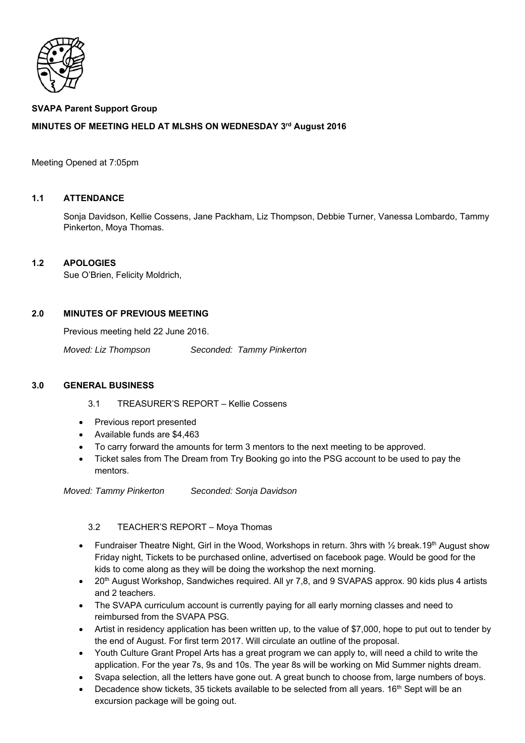

# **SVAPA Parent Support Group**

# **MINUTES OF MEETING HELD AT MLSHS ON WEDNESDAY 3rd August 2016**

#### Meeting Opened at 7:05pm

#### **1.1 ATTENDANCE**

Sonja Davidson, Kellie Cossens, Jane Packham, Liz Thompson, Debbie Turner, Vanessa Lombardo, Tammy Pinkerton, Moya Thomas.

#### **1.2 APOLOGIES**

Sue O'Brien, Felicity Moldrich,

#### **2.0 MINUTES OF PREVIOUS MEETING**

Previous meeting held 22 June 2016.

*Moved: Liz Thompson Seconded: Tammy Pinkerton* 

#### **3.0 GENERAL BUSINESS**

- 3.1 TREASURER'S REPORT Kellie Cossens
- Previous report presented
- Available funds are \$4,463
- To carry forward the amounts for term 3 mentors to the next meeting to be approved.
- Ticket sales from The Dream from Try Booking go into the PSG account to be used to pay the mentors.

*Moved: Tammy Pinkerton Seconded: Sonja Davidson* 

# 3.2 TEACHER'S REPORT – Moya Thomas

- Fundraiser Theatre Night, Girl in the Wood, Workshops in return. 3hrs with  $\frac{1}{2}$  break.19<sup>th</sup> August show Friday night, Tickets to be purchased online, advertised on facebook page. Would be good for the kids to come along as they will be doing the workshop the next morning.
- $20<sup>th</sup>$  August Workshop, Sandwiches required. All yr 7,8, and 9 SVAPAS approx. 90 kids plus 4 artists and 2 teachers.
- The SVAPA curriculum account is currently paying for all early morning classes and need to reimbursed from the SVAPA PSG.
- Artist in residency application has been written up, to the value of \$7,000, hope to put out to tender by the end of August. For first term 2017. Will circulate an outline of the proposal.
- Youth Culture Grant Propel Arts has a great program we can apply to, will need a child to write the application. For the year 7s, 9s and 10s. The year 8s will be working on Mid Summer nights dream.
- Svapa selection, all the letters have gone out. A great bunch to choose from, large numbers of boys.
- Decadence show tickets, 35 tickets available to be selected from all years. 16<sup>th</sup> Sept will be an excursion package will be going out.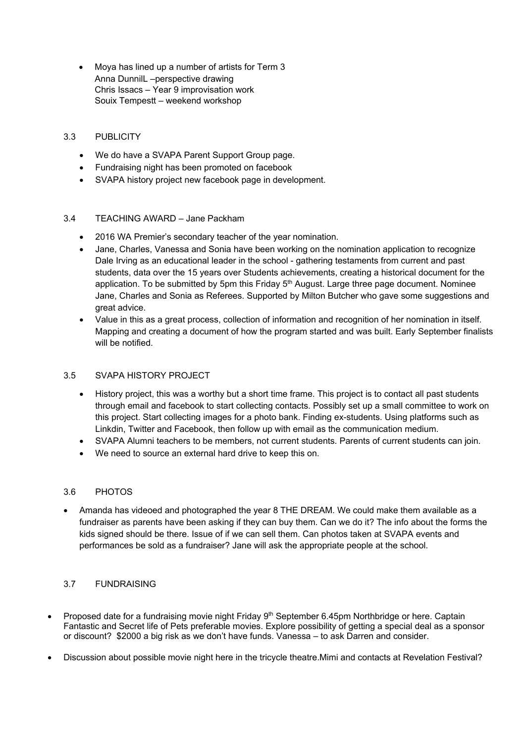• Moya has lined up a number of artists for Term 3 Anna DunnilL –perspective drawing Chris Issacs – Year 9 improvisation work Souix Tempestt – weekend workshop

# 3.3 PUBLICITY

- We do have a SVAPA Parent Support Group page.
- Fundraising night has been promoted on facebook
- SVAPA history project new facebook page in development.

# 3.4 TEACHING AWARD – Jane Packham

- 2016 WA Premier's secondary teacher of the year nomination.
- Jane, Charles, Vanessa and Sonia have been working on the nomination application to recognize Dale Irving as an educational leader in the school - gathering testaments from current and past students, data over the 15 years over Students achievements, creating a historical document for the application. To be submitted by 5pm this Friday 5<sup>th</sup> August. Large three page document. Nominee Jane, Charles and Sonia as Referees. Supported by Milton Butcher who gave some suggestions and great advice.
- Value in this as a great process, collection of information and recognition of her nomination in itself. Mapping and creating a document of how the program started and was built. Early September finalists will be notified.

# 3.5 SVAPA HISTORY PROJECT

- History project, this was a worthy but a short time frame. This project is to contact all past students through email and facebook to start collecting contacts. Possibly set up a small committee to work on this project. Start collecting images for a photo bank. Finding ex-students. Using platforms such as Linkdin, Twitter and Facebook, then follow up with email as the communication medium.
- SVAPA Alumni teachers to be members, not current students. Parents of current students can join.
- We need to source an external hard drive to keep this on.

# 3.6 PHOTOS

• Amanda has videoed and photographed the year 8 THE DREAM. We could make them available as a fundraiser as parents have been asking if they can buy them. Can we do it? The info about the forms the kids signed should be there. Issue of if we can sell them. Can photos taken at SVAPA events and performances be sold as a fundraiser? Jane will ask the appropriate people at the school.

# 3.7 FUNDRAISING

- Proposed date for a fundraising movie night Friday  $9<sup>th</sup>$  September 6.45pm Northbridge or here. Captain Fantastic and Secret life of Pets preferable movies. Explore possibility of getting a special deal as a sponsor or discount? \$2000 a big risk as we don't have funds. Vanessa – to ask Darren and consider.
- Discussion about possible movie night here in the tricycle theatre.Mimi and contacts at Revelation Festival?